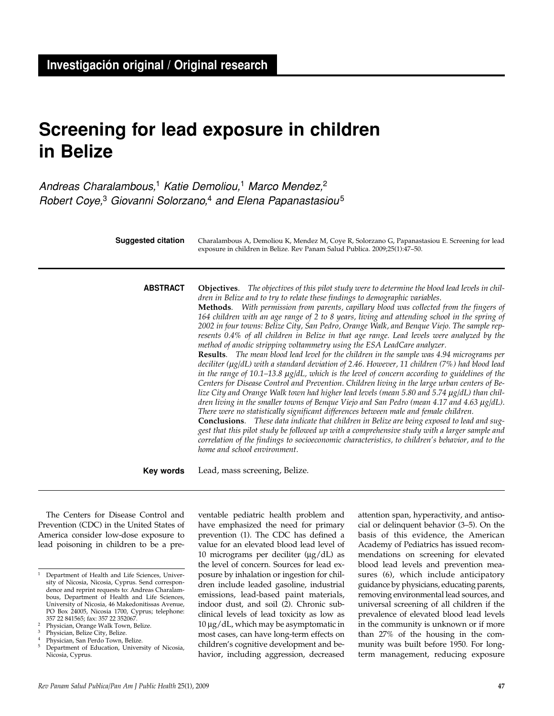# **Screening for lead exposure in children in Belize**

Andreas Charalambous,<sup>1</sup> Katie Demoliou,<sup>1</sup> Marco Mendez,<sup>2</sup> Robert Coye,<sup>3</sup> Giovanni Solorzano,<sup>4</sup> and Elena Papanastasiou<sup>5</sup>

> **Objectives**. *The objectives of this pilot study were to determine the blood lead levels in children in Belize and to try to relate these findings to demographic variables.* **Methods**. *With permission from parents, capillary blood was collected from the fingers of 164 children with an age range of 2 to 8 years, living and attending school in the spring of 2002 in four towns: Belize City, San Pedro, Orange Walk, and Benque Viejo. The sample represents 0.4% of all children in Belize in that age range. Lead levels were analyzed by the method of anodic stripping voltammetry using the ESA LeadCare analyzer.* **Results**. *The mean blood lead level for the children in the sample was 4.94 micrograms per deciliter (mg/dL) with a standard deviation of 2.46. However, 11 children (7%) had blood lead in the range of 10.1–13.8 mg/dL, which is the level of concern according to guidelines of the Centers for Disease Control and Prevention. Children living in the large urban centers of Be*lize City and Orange Walk town had higher lead levels (mean 5.80 and 5.74  $\mu$ g/dL) than chil*dren living in the smaller towns of Benque Viejo and San Pedro (mean 4.17 and 4.63*  $\mu$ *<i>g*/*dL*). *There were no statistically significant differences between male and female children.*  **ABSTRACT** Charalambous A, Demoliou K, Mendez M, Coye R, Solorzano G, Papanastasiou E. Screening for lead exposure in children in Belize. Rev Panam Salud Publica. 2009;25(1):47–50. **Suggested citation**

**Conclusions**. *These data indicate that children in Belize are being exposed to lead and suggest that this pilot study be followed up with a comprehensive study with a larger sample and correlation of the findings to socioeconomic characteristics, to children's behavior, and to the home and school environment.*

Lead, mass screening, Belize. **Key words**

The Centers for Disease Control and Prevention (CDC) in the United States of America consider low-dose exposure to lead poisoning in children to be a pre-

ventable pediatric health problem and have emphasized the need for primary prevention (1). The CDC has defined a value for an elevated blood lead level of 10 micrograms per deciliter (μg/dL) as the level of concern. Sources for lead exposure by inhalation or ingestion for children include leaded gasoline, industrial emissions, lead-based paint materials, indoor dust, and soil (2). Chronic subclinical levels of lead toxicity as low as 10 μg/dL, which may be asymptomatic in most cases, can have long-term effects on children's cognitive development and behavior, including aggression, decreased

attention span, hyperactivity, and antisocial or delinquent behavior (3–5). On the basis of this evidence, the American Academy of Pediatrics has issued recommendations on screening for elevated blood lead levels and prevention measures (6), which include anticipatory guidance by physicians, educating parents, removing environmental lead sources, and universal screening of all children if the prevalence of elevated blood lead levels in the community is unknown or if more than 27% of the housing in the community was built before 1950. For longterm management, reducing exposure

<sup>&</sup>lt;sup>1</sup> Department of Health and Life Sciences, University of Nicosia, Nicosia, Cyprus. Send correspondence and reprint requests to: Andreas Charalambous, Department of Health and Life Sciences, University of Nicosia, 46 Makedonitissas Avenue, PO Box 24005, Nicosia 1700, Cyprus; telephone: 357 22 841565; fax: 357 22 352067.

<sup>2</sup> Physician, Orange Walk Town, Belize.

Physician, Belize City, Belize.

Physician, San Perdo Town, Belize.

<sup>5</sup> Department of Education, University of Nicosia, Nicosia, Cyprus.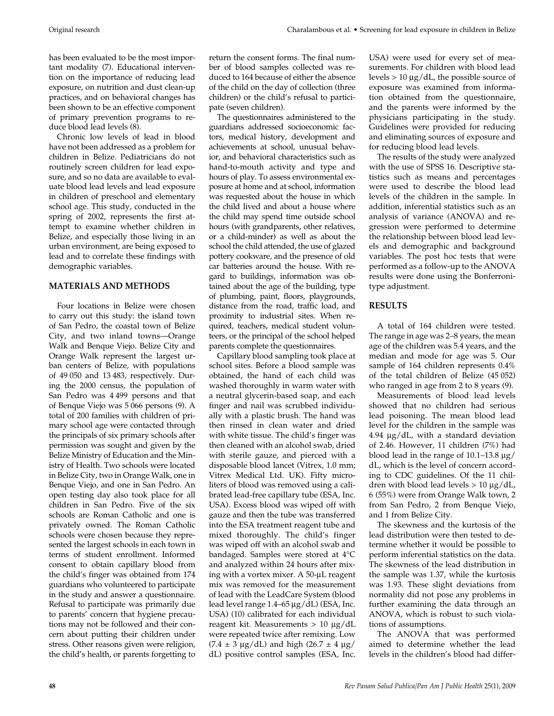Original research Charalambous et al. • Screening for lead exposure in children in Belize

has been evaluated to be the most important modality (7). Educational intervention on the importance of reducing lead exposure, on nutrition and dust clean-up practices, and on behavioral changes has been shown to be an effective component of primary prevention programs to reduce blood lead levels (8).

Chronic low levels of lead in blood have not been addressed as a problem for children in Belize. Pediatricians do not routinely screen children for lead exposure, and so no data are available to evaluate blood lead levels and lead exposure in children of preschool and elementary school age. This study, conducted in the spring of 2002, represents the first attempt to examine whether children in Belize, and especially those living in an urban environment, are being exposed to lead and to correlate these findings with demographic variables.

## **MATERIALS AND METHODS**

Four locations in Belize were chosen to carry out this study: the island town of San Pedro, the coastal town of Belize City, and two inland towns—Orange Walk and Benque Viejo. Belize City and Orange Walk represent the largest urban centers of Belize, with populations of 49 050 and 13 483, respectively. During the 2000 census, the population of San Pedro was 4 499 persons and that of Benque Viejo was 5 066 persons (9). A total of 200 families with children of primary school age were contacted through the principals of six primary schools after permission was sought and given by the Belize Ministry of Education and the Ministry of Health. Two schools were located in Belize City, two in Orange Walk, one in Benque Viejo, and one in San Pedro. An open testing day also took place for all children in San Pedro. Five of the six schools are Roman Catholic and one is privately owned. The Roman Catholic schools were chosen because they represented the largest schools in each town in terms of student enrollment. Informed consent to obtain capillary blood from the child's finger was obtained from 174 guardians who volunteered to participate in the study and answer a questionnaire. Refusal to participate was primarily due to parents' concern that hygiene precautions may not be followed and their concern about putting their children under stress. Other reasons given were religion, the child's health, or parents forgetting to

The questionnaires administered to the guardians addressed socioeconomic factors, medical history, development and achievements at school, unusual behavior, and behavioral characteristics such as hand-to-mouth activity and type and hours of play. To assess environmental exposure at home and at school, information was requested about the house in which the child lived and about a house where the child may spend time outside school hours (with grandparents, other relatives, or a child-minder) as well as about the school the child attended, the use of glazed pottery cookware, and the presence of old car batteries around the house. With regard to buildings, information was obtained about the age of the building, type of plumbing, paint, floors, playgrounds, distance from the road, traffic load, and proximity to industrial sites. When required, teachers, medical student volunteers, or the principal of the school helped parents complete the questionnaires.

Capillary blood sampling took place at school sites. Before a blood sample was obtained, the hand of each child was washed thoroughly in warm water with a neutral glycerin-based soap, and each finger and nail was scrubbed individually with a plastic brush. The hand was then rinsed in clean water and dried with white tissue. The child's finger was then cleaned with an alcohol swab, dried with sterile gauze, and pierced with a disposable blood lancet (Vitrex, 1.0 mm; Vitrex Medical Ltd. UK). Fifty microliters of blood was removed using a calibrated lead-free capillary tube (ESA, Inc. USA). Excess blood was wiped off with gauze and then the tube was transferred into the ESA treatment reagent tube and mixed thoroughly. The child's finger was wiped off with an alcohol swab and bandaged. Samples were stored at 4°C and analyzed within 24 hours after mixing with a vortex mixer. A 50-μL reagent mix was removed for the measurement of lead with the LeadCare System (blood lead level range 1.4–65 μg/dL) (ESA, Inc. USA) (10) calibrated for each individual reagent kit. Measurements > 10 μg/dL were repeated twice after remixing. Low  $(7.4 \pm 3 \text{ µg}/dL)$  and high  $(26.7 \pm 4 \text{ µg}/dL)$ dL) positive control samples (ESA, Inc.

USA) were used for every set of measurements. For children with blood lead levels  $> 10 \mu g/dL$ , the possible source of exposure was examined from information obtained from the questionnaire, and the parents were informed by the physicians participating in the study. Guidelines were provided for reducing and eliminating sources of exposure and for reducing blood lead levels.

The results of the study were analyzed with the use of SPSS 16. Descriptive statistics such as means and percentages were used to describe the blood lead levels of the children in the sample. In addition, inferential statistics such as an analysis of variance (ANOVA) and regression were performed to determine the relationship between blood lead levels and demographic and background variables. The post hoc tests that were performed as a follow-up to the ANOVA results were done using the Bonferronitype adjustment.

## **RESULTS**

A total of 164 children were tested. The range in age was 2–8 years, the mean age of the children was 5.4 years, and the median and mode for age was 5. Our sample of 164 children represents 0.4% of the total children of Belize (45 052) who ranged in age from 2 to 8 years (9).

Measurements of blood lead levels showed that no children had serious lead poisoning. The mean blood lead level for the children in the sample was 4.94 μg/dL, with a standard deviation of 2.46. However, 11 children (7%) had blood lead in the range of 10.1–13.8 μg/ dL, which is the level of concern according to CDC guidelines. Of the 11 children with blood lead levels > 10 μg/dL, 6 (55%) were from Orange Walk town, 2 from San Pedro, 2 from Benque Viejo, and 1 from Belize City.

The skewness and the kurtosis of the lead distribution were then tested to determine whether it would be possible to perform inferential statistics on the data. The skewness of the lead distribution in the sample was 1.37, while the kurtosis was 1.93. These slight deviations from normality did not pose any problems in further examining the data through an ANOVA, which is robust to such violations of assumptions.

The ANOVA that was performed aimed to determine whether the lead levels in the children's blood had differ-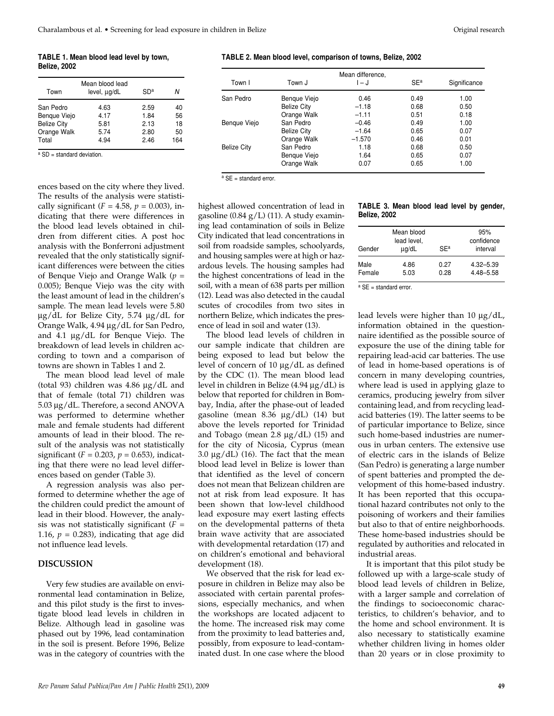#### **TABLE 1. Mean blood lead level by town, Belize, 2002**

|                    | Mean blood lead |      |     |
|--------------------|-----------------|------|-----|
| Town               | level, ug/dL    | SDª  | N   |
| San Pedro          | 4.63            | 2.59 | 40  |
| Benque Viejo       | 4.17            | 1.84 | 56  |
| <b>Belize City</b> | 5.81            | 2.13 | 18  |
| Orange Walk        | 5.74            | 2.80 | 50  |
| Total              | 4.94            | 2.46 | 164 |

a SD = standard deviation.

ences based on the city where they lived. The results of the analysis were statistically significant ( $F = 4.58$ ,  $p = 0.003$ ), indicating that there were differences in the blood lead levels obtained in children from different cities. A post hoc analysis with the Bonferroni adjustment revealed that the only statistically significant differences were between the cities of Benque Viejo and Orange Walk (*p* = 0.005); Benque Viejo was the city with the least amount of lead in the children's sample. The mean lead levels were 5.80 μg/dL for Belize City, 5.74 μg/dL for Orange Walk, 4.94 μg/dL for San Pedro, and 4.1 μg/dL for Benque Viejo. The breakdown of lead levels in children according to town and a comparison of towns are shown in Tables 1 and 2.

The mean blood lead level of male (total 93) children was 4.86 μg/dL and that of female (total 71) children was 5.03 μg/dL. Therefore, a second ANOVA was performed to determine whether male and female students had different amounts of lead in their blood. The result of the analysis was not statistically significant ( $F = 0.203$ ,  $p = 0.653$ ), indicating that there were no lead level differences based on gender (Table 3).

A regression analysis was also performed to determine whether the age of the children could predict the amount of lead in their blood. However, the analysis was not statistically significant  $(F =$ 1.16,  $p = 0.283$ ), indicating that age did not influence lead levels.

#### **DISCUSSION**

Very few studies are available on environmental lead contamination in Belize, and this pilot study is the first to investigate blood lead levels in children in Belize. Although lead in gasoline was phased out by 1996, lead contamination in the soil is present. Before 1996, Belize was in the category of countries with the

#### **TABLE 2. Mean blood level, comparison of towns, Belize, 2002**

| Town I             | Town J             | Mean difference,<br>I – J | SE <sup>a</sup> | Significance |
|--------------------|--------------------|---------------------------|-----------------|--------------|
| San Pedro          | Bengue Viejo       | 0.46                      | 0.49            | 1.00         |
|                    | <b>Belize City</b> | $-1.18$                   | 0.68            | 0.50         |
|                    | Orange Walk        | $-1.11$                   | 0.51            | 0.18         |
| Bengue Viejo       | San Pedro          | $-0.46$                   | 0.49            | 1.00         |
|                    | <b>Belize City</b> | $-1.64$                   | 0.65            | 0.07         |
|                    | Orange Walk        | $-1.570$                  | 0.46            | 0.01         |
| <b>Belize City</b> | San Pedro          | 1.18                      | 0.68            | 0.50         |
|                    | Bengue Viejo       | 1.64                      | 0.65            | 0.07         |
|                    | Orange Walk        | 0.07                      | 0.65            | 1.00         |

 $a$  SE = standard error.

highest allowed concentration of lead in gasoline  $(0.84 \text{ g/L})$  (11). A study examining lead contamination of soils in Belize City indicated that lead concentrations in soil from roadside samples, schoolyards, and housing samples were at high or hazardous levels. The housing samples had the highest concentrations of lead in the soil, with a mean of 638 parts per million (12). Lead was also detected in the caudal scutes of crocodiles from two sites in northern Belize, which indicates the presence of lead in soil and water (13).

The blood lead levels of children in our sample indicate that children are being exposed to lead but below the level of concern of 10 μg/dL as defined by the CDC (1). The mean blood lead level in children in Belize (4.94 μg/dL) is below that reported for children in Bombay, India, after the phase-out of leaded gasoline (mean 8.36 μg/dL) (14) but above the levels reported for Trinidad and Tobago (mean 2.8 μg/dL) (15) and for the city of Nicosia, Cyprus (mean 3.0  $\mu$ g/dL) (16). The fact that the mean blood lead level in Belize is lower than that identified as the level of concern does not mean that Belizean children are not at risk from lead exposure. It has been shown that low-level childhood lead exposure may exert lasting effects on the developmental patterns of theta brain wave activity that are associated with developmental retardation (17) and on children's emotional and behavioral development (18).

We observed that the risk for lead exposure in children in Belize may also be associated with certain parental professions, especially mechanics, and when the workshops are located adjacent to the home. The increased risk may come from the proximity to lead batteries and, possibly, from exposure to lead-contaminated dust. In one case where the blood

**TABLE 3. Mean blood lead level by gender, Belize, 2002**

| Gender | Mean blood<br>lead level,<br>$\mu$ g/dL | SFAF | 95%<br>confidence<br>interval |
|--------|-----------------------------------------|------|-------------------------------|
| Male   | 4.86                                    | 0.27 | $4.32 - 5.39$                 |
| Female | 5.03                                    | 0.28 | 4.48-5.58                     |

 $a$  SF = standard error.

lead levels were higher than 10 μg/dL, information obtained in the questionnaire identified as the possible source of exposure the use of the dining table for repairing lead-acid car batteries. The use of lead in home-based operations is of concern in many developing countries, where lead is used in applying glaze to ceramics, producing jewelry from silver containing lead, and from recycling leadacid batteries (19). The latter seems to be of particular importance to Belize, since such home-based industries are numerous in urban centers. The extensive use of electric cars in the islands of Belize (San Pedro) is generating a large number of spent batteries and prompted the development of this home-based industry. It has been reported that this occupational hazard contributes not only to the poisoning of workers and their families but also to that of entire neighborhoods. These home-based industries should be regulated by authorities and relocated in industrial areas.

It is important that this pilot study be followed up with a large-scale study of blood lead levels of children in Belize, with a larger sample and correlation of the findings to socioeconomic characteristics, to children's behavior, and to the home and school environment. It is also necessary to statistically examine whether children living in homes older than 20 years or in close proximity to